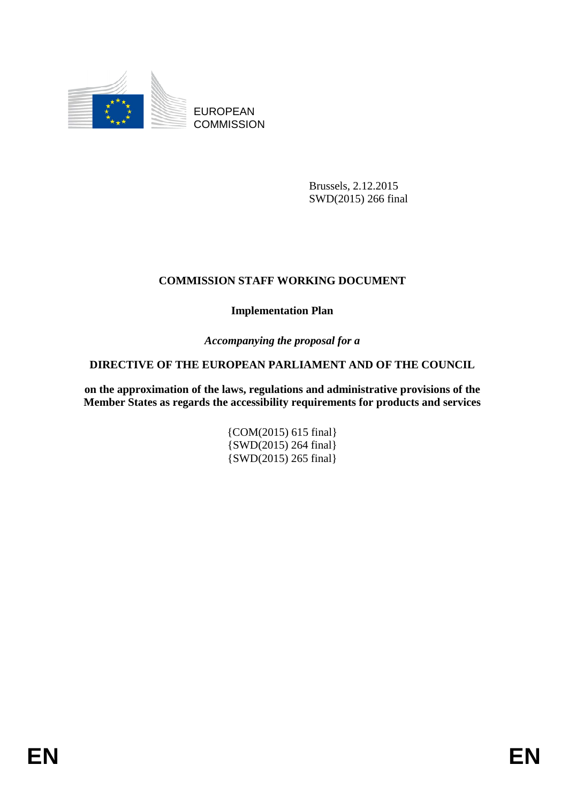

EUROPEAN **COMMISSION** 

> Brussels, 2.12.2015 SWD(2015) 266 final

# **COMMISSION STAFF WORKING DOCUMENT**

**Implementation Plan** 

*Accompanying the proposal for a* 

# **DIRECTIVE OF THE EUROPEAN PARLIAMENT AND OF THE COUNCIL**

**on the approximation of the laws, regulations and administrative provisions of the Member States as regards the accessibility requirements for products and services** 

> {COM(2015) 615 final} {SWD(2015) 264 final} {SWD(2015) 265 final}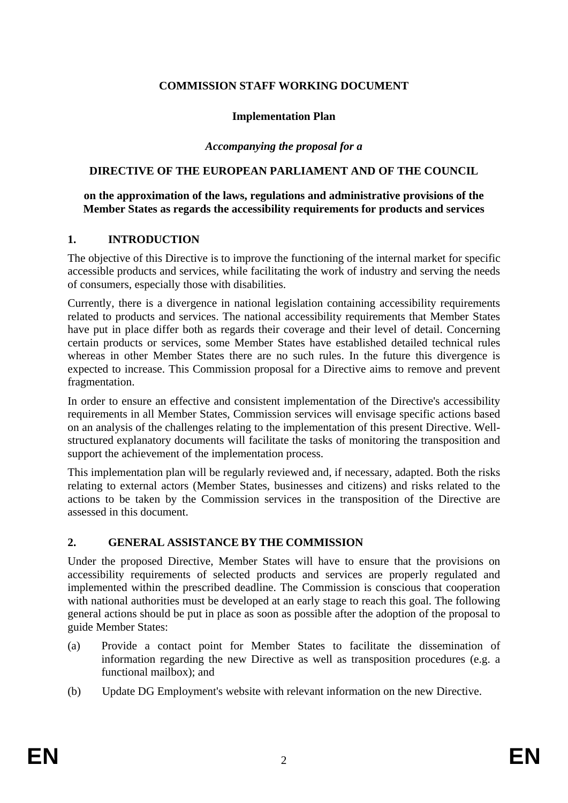## **COMMISSION STAFF WORKING DOCUMENT**

### **Implementation Plan**

#### *Accompanying the proposal for a*

### **DIRECTIVE OF THE EUROPEAN PARLIAMENT AND OF THE COUNCIL**

#### **on the approximation of the laws, regulations and administrative provisions of the Member States as regards the accessibility requirements for products and services**

### **1. INTRODUCTION**

The objective of this Directive is to improve the functioning of the internal market for specific accessible products and services, while facilitating the work of industry and serving the needs of consumers, especially those with disabilities.

Currently, there is a divergence in national legislation containing accessibility requirements related to products and services. The national accessibility requirements that Member States have put in place differ both as regards their coverage and their level of detail. Concerning certain products or services, some Member States have established detailed technical rules whereas in other Member States there are no such rules. In the future this divergence is expected to increase. This Commission proposal for a Directive aims to remove and prevent fragmentation.

In order to ensure an effective and consistent implementation of the Directive's accessibility requirements in all Member States, Commission services will envisage specific actions based on an analysis of the challenges relating to the implementation of this present Directive. Wellstructured explanatory documents will facilitate the tasks of monitoring the transposition and support the achievement of the implementation process.

This implementation plan will be regularly reviewed and, if necessary, adapted. Both the risks relating to external actors (Member States, businesses and citizens) and risks related to the actions to be taken by the Commission services in the transposition of the Directive are assessed in this document.

#### **2. GENERAL ASSISTANCE BY THE COMMISSION**

Under the proposed Directive, Member States will have to ensure that the provisions on accessibility requirements of selected products and services are properly regulated and implemented within the prescribed deadline. The Commission is conscious that cooperation with national authorities must be developed at an early stage to reach this goal. The following general actions should be put in place as soon as possible after the adoption of the proposal to guide Member States:

- (a) Provide a contact point for Member States to facilitate the dissemination of information regarding the new Directive as well as transposition procedures (e.g. a functional mailbox); and
- (b) Update DG Employment's website with relevant information on the new Directive.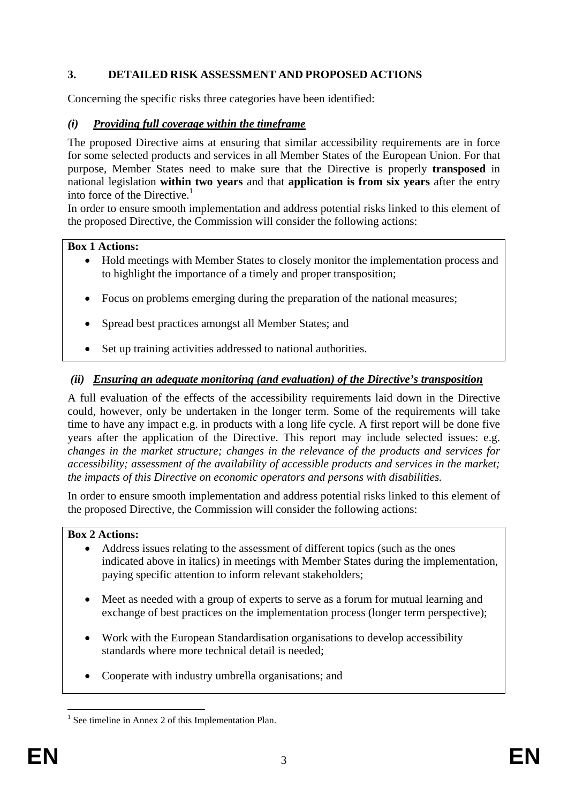# **3. DETAILED RISK ASSESSMENT AND PROPOSED ACTIONS**

Concerning the specific risks three categories have been identified:

## *(i) Providing full coverage within the timeframe*

The proposed Directive aims at ensuring that similar accessibility requirements are in force for some selected products and services in all Member States of the European Union. For that purpose, Member States need to make sure that the Directive is properly **transposed** in national legislation **within two years** and that **application is from six years** after the entry into force of the Directive.<sup>1</sup>

In order to ensure smooth implementation and address potential risks linked to this element of the proposed Directive, the Commission will consider the following actions:

### **Box 1 Actions:**

- Hold meetings with Member States to closely monitor the implementation process and to highlight the importance of a timely and proper transposition;
- Focus on problems emerging during the preparation of the national measures;
- Spread best practices amongst all Member States; and
- Set up training activities addressed to national authorities.

## *(ii) Ensuring an adequate monitoring (and evaluation) of the Directive's transposition*

A full evaluation of the effects of the accessibility requirements laid down in the Directive could, however, only be undertaken in the longer term. Some of the requirements will take time to have any impact e.g. in products with a long life cycle. A first report will be done five years after the application of the Directive. This report may include selected issues: e.g. *changes in the market structure; changes in the relevance of the products and services for accessibility; assessment of the availability of accessible products and services in the market; the impacts of this Directive on economic operators and persons with disabilities.* 

In order to ensure smooth implementation and address potential risks linked to this element of the proposed Directive, the Commission will consider the following actions:

#### **Box 2 Actions:**

- Address issues relating to the assessment of different topics (such as the ones indicated above in italics) in meetings with Member States during the implementation, paying specific attention to inform relevant stakeholders;
- Meet as needed with a group of experts to serve as a forum for mutual learning and exchange of best practices on the implementation process (longer term perspective);
- Work with the European Standardisation organisations to develop accessibility standards where more technical detail is needed;
- Cooperate with industry umbrella organisations; and

<sup>1</sup> <sup>1</sup> See timeline in Annex 2 of this Implementation Plan.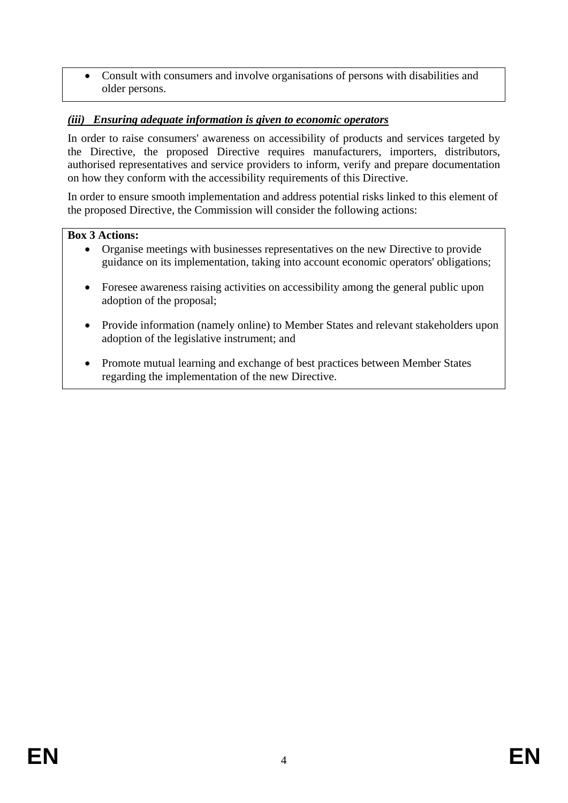• Consult with consumers and involve organisations of persons with disabilities and older persons.

# *(iii) Ensuring adequate information is given to economic operators*

In order to raise consumers' awareness on accessibility of products and services targeted by the Directive, the proposed Directive requires manufacturers, importers, distributors, authorised representatives and service providers to inform, verify and prepare documentation on how they conform with the accessibility requirements of this Directive.

In order to ensure smooth implementation and address potential risks linked to this element of the proposed Directive, the Commission will consider the following actions:

### **Box 3 Actions:**

- Organise meetings with businesses representatives on the new Directive to provide guidance on its implementation, taking into account economic operators' obligations;
- Foresee awareness raising activities on accessibility among the general public upon adoption of the proposal;
- Provide information (namely online) to Member States and relevant stakeholders upon adoption of the legislative instrument; and
- Promote mutual learning and exchange of best practices between Member States regarding the implementation of the new Directive.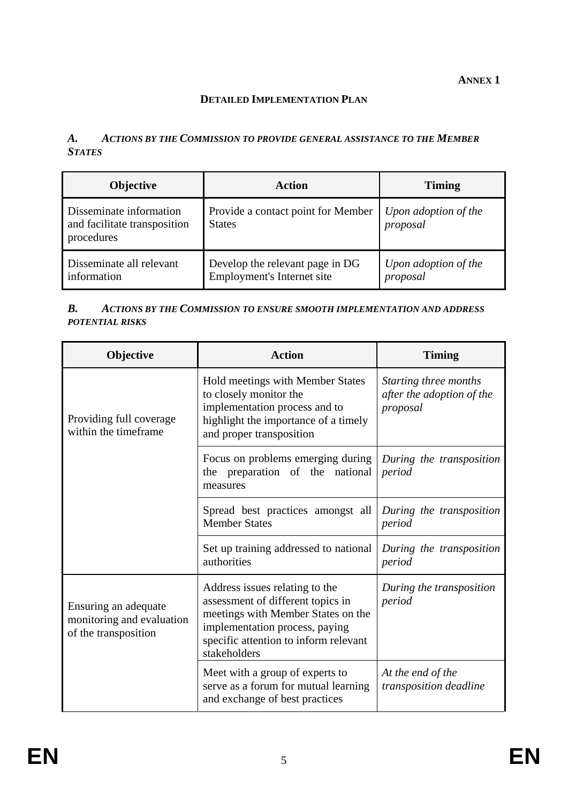### **DETAILED IMPLEMENTATION PLAN**

## *A. ACTIONS BY THE COMMISSION TO PROVIDE GENERAL ASSISTANCE TO THE MEMBER STATES*

| <b>Objective</b>                                                      | Action                                                        | <b>Timing</b>                    |
|-----------------------------------------------------------------------|---------------------------------------------------------------|----------------------------------|
| Disseminate information<br>and facilitate transposition<br>procedures | Provide a contact point for Member<br><b>States</b>           | Upon adoption of the<br>proposal |
| Disseminate all relevant<br>information                               | Develop the relevant page in DG<br>Employment's Internet site | Upon adoption of the<br>proposal |

### *B. ACTIONS BY THE COMMISSION TO ENSURE SMOOTH IMPLEMENTATION AND ADDRESS POTENTIAL RISKS*

| Objective                                                                 | <b>Action</b>                                                                                                                                                                                        | <b>Timing</b>                                                  |
|---------------------------------------------------------------------------|------------------------------------------------------------------------------------------------------------------------------------------------------------------------------------------------------|----------------------------------------------------------------|
| Providing full coverage<br>within the timeframe                           | Hold meetings with Member States<br>to closely monitor the<br>implementation process and to<br>highlight the importance of a timely<br>and proper transposition                                      | Starting three months<br>after the adoption of the<br>proposal |
|                                                                           | Focus on problems emerging during<br>the preparation of the national<br>measures                                                                                                                     | During the transposition<br>period                             |
|                                                                           | Spread best practices amongst all<br><b>Member States</b>                                                                                                                                            | During the transposition<br>period                             |
|                                                                           | Set up training addressed to national<br>authorities                                                                                                                                                 | During the transposition<br>period                             |
| Ensuring an adequate<br>monitoring and evaluation<br>of the transposition | Address issues relating to the<br>assessment of different topics in<br>meetings with Member States on the<br>implementation process, paying<br>specific attention to inform relevant<br>stakeholders | During the transposition<br>period                             |
|                                                                           | Meet with a group of experts to<br>serve as a forum for mutual learning<br>and exchange of best practices                                                                                            | At the end of the<br>transposition deadline                    |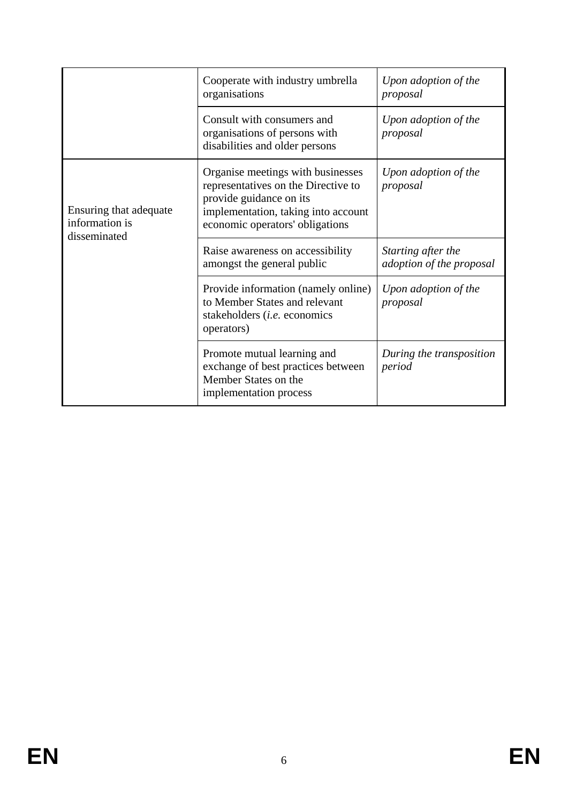|                                                          | Cooperate with industry umbrella<br>organisations                                                                                                                             | Upon adoption of the<br>proposal               |
|----------------------------------------------------------|-------------------------------------------------------------------------------------------------------------------------------------------------------------------------------|------------------------------------------------|
|                                                          | Consult with consumers and<br>organisations of persons with<br>disabilities and older persons                                                                                 | Upon adoption of the<br>proposal               |
| Ensuring that adequate<br>information is<br>disseminated | Organise meetings with businesses<br>representatives on the Directive to<br>provide guidance on its<br>implementation, taking into account<br>economic operators' obligations | Upon adoption of the<br>proposal               |
|                                                          | Raise awareness on accessibility<br>amongst the general public                                                                                                                | Starting after the<br>adoption of the proposal |
|                                                          | Provide information (namely online)<br>to Member States and relevant<br>stakeholders <i>(i.e.</i> economics<br>operators)                                                     | Upon adoption of the<br>proposal               |
|                                                          | Promote mutual learning and<br>exchange of best practices between<br>Member States on the<br>implementation process                                                           | During the transposition<br>period             |